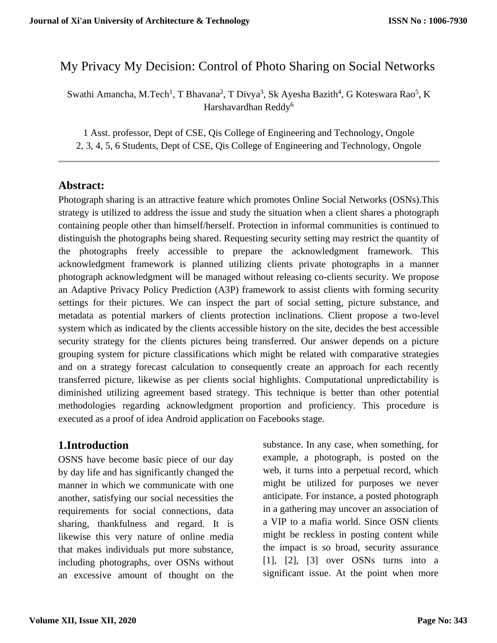# My Privacy My Decision: Control of Photo Sharing on Social Networks

Swathi Amancha, M.Tech<sup>1</sup>, T Bhavana<sup>2</sup>, T Divya<sup>3</sup>, Sk Ayesha Bazith<sup>4</sup>, G Koteswara Rao<sup>5</sup>, K Harshavardhan Reddy<sup>6</sup>

1 Asst. professor, Dept of CSE, Qis College of Engineering and Technology, Ongole 2, 3, 4, 5, 6 Students, Dept of CSE, Qis College of Engineering and Technology, Ongole

## **Abstract:**

Photograph sharing is an attractive feature which promotes Online Social Networks (OSNs).This strategy is utilized to address the issue and study the situation when a client shares a photograph containing people other than himself/herself. Protection in informal communities is continued to distinguish the photographs being shared. Requesting security setting may restrict the quantity of the photographs freely accessible to prepare the acknowledgment framework. This acknowledgment framework is planned utilizing clients private photographs in a manner photograph acknowledgment will be managed without releasing co-clients security. We propose an Adaptive Privacy Policy Prediction (A3P) framework to assist clients with forming security settings for their pictures. We can inspect the part of social setting, picture substance, and metadata as potential markers of clients protection inclinations. Client propose a two-level system which as indicated by the clients accessible history on the site, decides the best accessible security strategy for the clients pictures being transferred. Our answer depends on a picture grouping system for picture classifications which might be related with comparative strategies and on a strategy forecast calculation to consequently create an approach for each recently transferred picture, likewise as per clients social highlights. Computational unpredictability is diminished utilizing agreement based strategy. This technique is better than other potential methodologies regarding acknowledgment proportion and proficiency. This procedure is executed as a proof of idea Android application on Facebooks stage.

## **1.Introduction**

OSNS have become basic piece of our day by day life and has significantly changed the manner in which we communicate with one another, satisfying our social necessities the requirements for social connections, data sharing, thankfulness and regard. It is likewise this very nature of online media that makes individuals put more substance, including photographs, over OSNs without an excessive amount of thought on the

substance. In any case, when something, for example, a photograph, is posted on the web, it turns into a perpetual record, which might be utilized for purposes we never anticipate. For instance, a posted photograph in a gathering may uncover an association of a VIP to a mafia world. Since OSN clients might be reckless in posting content while the impact is so broad, security assurance [1], [2], [3] over OSNs turns into a significant issue. At the point when more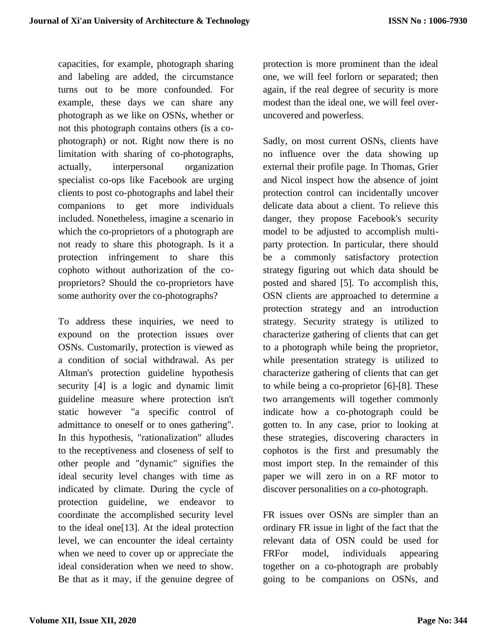capacities, for example, photograph sharing and labeling are added, the circumstance turns out to be more confounded. For example, these days we can share any photograph as we like on OSNs, whether or not this photograph contains others (is a cophotograph) or not. Right now there is no limitation with sharing of co-photographs, actually, interpersonal organization specialist co-ops like Facebook are urging clients to post co-photographs and label their companions to get more individuals included. Nonetheless, imagine a scenario in which the co-proprietors of a photograph are not ready to share this photograph. Is it a protection infringement to share this cophoto without authorization of the coproprietors? Should the co-proprietors have some authority over the co-photographs?

To address these inquiries, we need to expound on the protection issues over OSNs. Customarily, protection is viewed as a condition of social withdrawal. As per Altman's protection guideline hypothesis security [4] is a logic and dynamic limit guideline measure where protection isn't static however "a specific control of admittance to oneself or to ones gathering". In this hypothesis, "rationalization" alludes to the receptiveness and closeness of self to other people and "dynamic" signifies the ideal security level changes with time as indicated by climate. During the cycle of protection guideline, we endeavor to coordinate the accomplished security level to the ideal one[13]. At the ideal protection level, we can encounter the ideal certainty when we need to cover up or appreciate the ideal consideration when we need to show. Be that as it may, if the genuine degree of

protection is more prominent than the ideal one, we will feel forlorn or separated; then again, if the real degree of security is more modest than the ideal one, we will feel overuncovered and powerless.

Sadly, on most current OSNs, clients have no influence over the data showing up external their profile page. In Thomas, Grier and Nicol inspect how the absence of joint protection control can incidentally uncover delicate data about a client. To relieve this danger, they propose Facebook's security model to be adjusted to accomplish multiparty protection. In particular, there should be a commonly satisfactory protection strategy figuring out which data should be posted and shared [5]. To accomplish this, OSN clients are approached to determine a protection strategy and an introduction strategy. Security strategy is utilized to characterize gathering of clients that can get to a photograph while being the proprietor, while presentation strategy is utilized to characterize gathering of clients that can get to while being a co-proprietor [6]-[8]. These two arrangements will together commonly indicate how a co-photograph could be gotten to. In any case, prior to looking at these strategies, discovering characters in cophotos is the first and presumably the most import step. In the remainder of this paper we will zero in on a RF motor to discover personalities on a co-photograph.

FR issues over OSNs are simpler than an ordinary FR issue in light of the fact that the relevant data of OSN could be used for FRFor model, individuals appearing together on a co-photograph are probably going to be companions on OSNs, and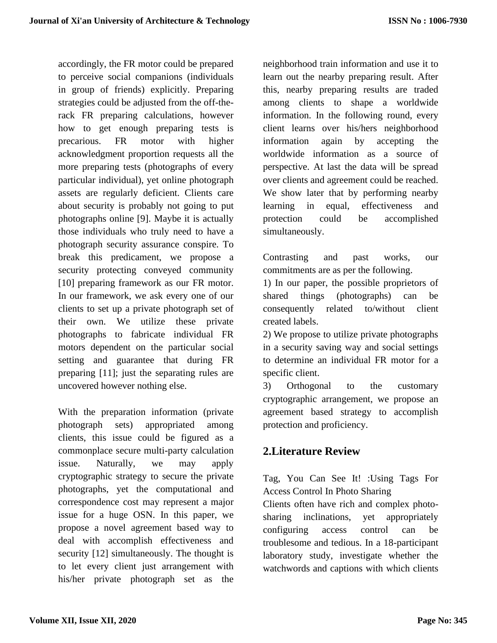accordingly, the FR motor could be prepared to perceive social companions (individuals in group of friends) explicitly. Preparing strategies could be adjusted from the off-therack FR preparing calculations, however how to get enough preparing tests is precarious. FR motor with higher acknowledgment proportion requests all the more preparing tests (photographs of every particular individual), yet online photograph assets are regularly deficient. Clients care about security is probably not going to put photographs online [9]. Maybe it is actually those individuals who truly need to have a photograph security assurance conspire. To break this predicament, we propose a security protecting conveyed community [10] preparing framework as our FR motor. In our framework, we ask every one of our clients to set up a private photograph set of their own. We utilize these private photographs to fabricate individual FR motors dependent on the particular social setting and guarantee that during FR preparing [11]; just the separating rules are uncovered however nothing else.

With the preparation information (private photograph sets) appropriated among clients, this issue could be figured as a commonplace secure multi-party calculation issue. Naturally, we may apply cryptographic strategy to secure the private photographs, yet the computational and correspondence cost may represent a major issue for a huge OSN. In this paper, we propose a novel agreement based way to deal with accomplish effectiveness and security [12] simultaneously. The thought is to let every client just arrangement with his/her private photograph set as the

neighborhood train information and use it to learn out the nearby preparing result. After this, nearby preparing results are traded among clients to shape a worldwide information. In the following round, every client learns over his/hers neighborhood information again by accepting the worldwide information as a source of perspective. At last the data will be spread over clients and agreement could be reached. We show later that by performing nearby learning in equal, effectiveness and protection could be accomplished simultaneously.

Contrasting and past works, our commitments are as per the following.

1) In our paper, the possible proprietors of shared things (photographs) can be consequently related to/without client created labels.

2) We propose to utilize private photographs in a security saving way and social settings to determine an individual FR motor for a specific client.

3) Orthogonal to the customary cryptographic arrangement, we propose an agreement based strategy to accomplish protection and proficiency.

# **2.Literature Review**

Tag, You Can See It! :Using Tags For Access Control In Photo Sharing

Clients often have rich and complex photosharing inclinations, yet appropriately configuring access control can be troublesome and tedious. In a 18-participant laboratory study, investigate whether the watchwords and captions with which clients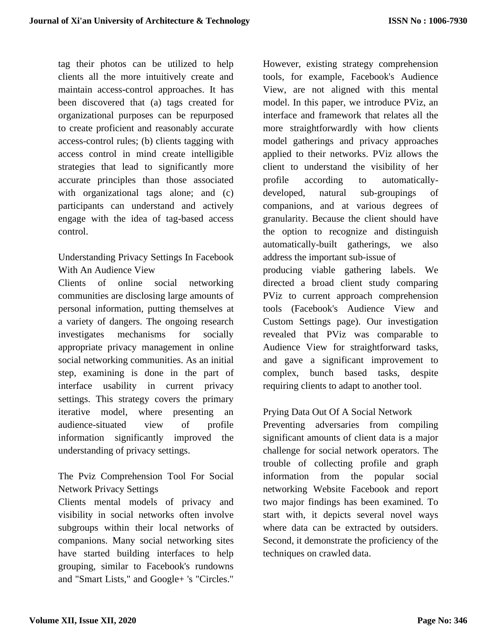tag their photos can be utilized to help clients all the more intuitively create and maintain access-control approaches. It has been discovered that (a) tags created for organizational purposes can be repurposed to create proficient and reasonably accurate access-control rules; (b) clients tagging with access control in mind create intelligible strategies that lead to significantly more accurate principles than those associated with organizational tags alone; and (c) participants can understand and actively engage with the idea of tag-based access control.

Understanding Privacy Settings In Facebook With An Audience View

Clients of online social networking communities are disclosing large amounts of personal information, putting themselves at a variety of dangers. The ongoing research investigates mechanisms for socially appropriate privacy management in online social networking communities. As an initial step, examining is done in the part of interface usability in current privacy settings. This strategy covers the primary iterative model, where presenting an audience-situated view of profile information significantly improved the understanding of privacy settings.

The Pviz Comprehension Tool For Social Network Privacy Settings

Clients mental models of privacy and visibility in social networks often involve subgroups within their local networks of companions. Many social networking sites have started building interfaces to help grouping, similar to Facebook's rundowns and "Smart Lists," and Google+ 's "Circles."

However, existing strategy comprehension tools, for example, Facebook's Audience View, are not aligned with this mental model. In this paper, we introduce PViz, an interface and framework that relates all the more straightforwardly with how clients model gatherings and privacy approaches applied to their networks. PViz allows the client to understand the visibility of her profile according to automaticallydeveloped, natural sub-groupings of companions, and at various degrees of granularity. Because the client should have the option to recognize and distinguish automatically-built gatherings, we also address the important sub-issue of producing viable gathering labels. We directed a broad client study comparing PViz to current approach comprehension tools (Facebook's Audience View and Custom Settings page). Our investigation revealed that PViz was comparable to Audience View for straightforward tasks, and gave a significant improvement to complex, bunch based tasks, despite requiring clients to adapt to another tool.

## Prying Data Out Of A Social Network

Preventing adversaries from compiling significant amounts of client data is a major challenge for social network operators. The trouble of collecting profile and graph information from the popular social networking Website Facebook and report two major findings has been examined. To start with, it depicts several novel ways where data can be extracted by outsiders. Second, it demonstrate the proficiency of the techniques on crawled data.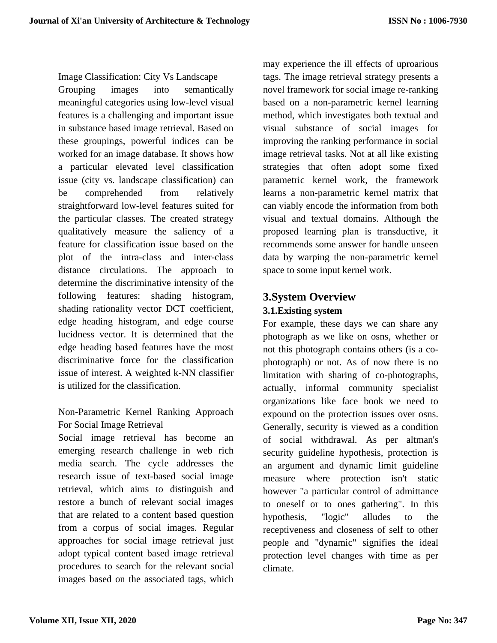Image Classification: City Vs Landscape Grouping images into semantically meaningful categories using low-level visual features is a challenging and important issue in substance based image retrieval. Based on these groupings, powerful indices can be worked for an image database. It shows how a particular elevated level classification issue (city vs. landscape classification) can be comprehended from relatively straightforward low-level features suited for the particular classes. The created strategy qualitatively measure the saliency of a feature for classification issue based on the plot of the intra-class and inter-class distance circulations. The approach to determine the discriminative intensity of the following features: shading histogram, shading rationality vector DCT coefficient, edge heading histogram, and edge course lucidness vector. It is determined that the edge heading based features have the most discriminative force for the classification issue of interest. A weighted k-NN classifier is utilized for the classification.

## Non-Parametric Kernel Ranking Approach For Social Image Retrieval

Social image retrieval has become an emerging research challenge in web rich media search. The cycle addresses the research issue of text-based social image retrieval, which aims to distinguish and restore a bunch of relevant social images that are related to a content based question from a corpus of social images. Regular approaches for social image retrieval just adopt typical content based image retrieval procedures to search for the relevant social images based on the associated tags, which

may experience the ill effects of uproarious tags. The image retrieval strategy presents a novel framework for social image re-ranking based on a non-parametric kernel learning method, which investigates both textual and visual substance of social images for improving the ranking performance in social image retrieval tasks. Not at all like existing strategies that often adopt some fixed parametric kernel work, the framework learns a non-parametric kernel matrix that can viably encode the information from both visual and textual domains. Although the proposed learning plan is transductive, it recommends some answer for handle unseen data by warping the non-parametric kernel space to some input kernel work.

# **3.System Overview**

## **3.1.Existing system**

For example, these days we can share any photograph as we like on osns, whether or not this photograph contains others (is a cophotograph) or not. As of now there is no limitation with sharing of co-photographs, actually, informal community specialist organizations like face book we need to expound on the protection issues over osns. Generally, security is viewed as a condition of social withdrawal. As per altman's security guideline hypothesis, protection is an argument and dynamic limit guideline measure where protection isn't static however "a particular control of admittance to oneself or to ones gathering". In this hypothesis, "logic" alludes to the receptiveness and closeness of self to other people and "dynamic" signifies the ideal protection level changes with time as per climate.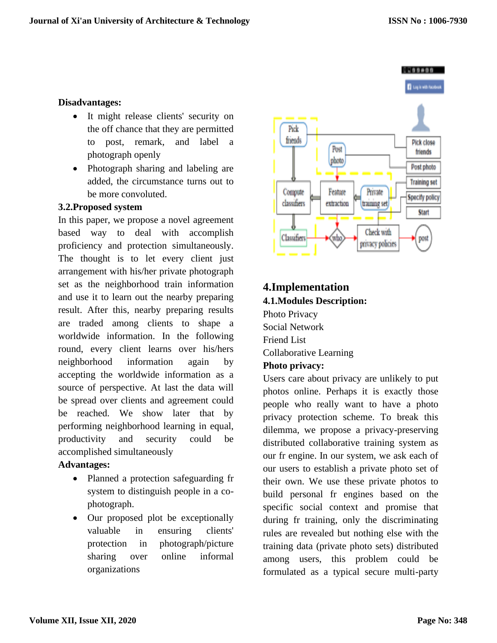#### **Disadvantages:**

- It might release clients' security on the off chance that they are permitted to post, remark, and label a photograph openly
- Photograph sharing and labeling are added, the circumstance turns out to be more convoluted.

#### **3.2.Proposed system**

In this paper, we propose a novel agreement based way to deal with accomplish proficiency and protection simultaneously. The thought is to let every client just arrangement with his/her private photograph set as the neighborhood train information and use it to learn out the nearby preparing result. After this, nearby preparing results are traded among clients to shape a worldwide information. In the following round, every client learns over his/hers neighborhood information again by accepting the worldwide information as a source of perspective. At last the data will be spread over clients and agreement could be reached. We show later that by performing neighborhood learning in equal, productivity and security could be accomplished simultaneously

#### **Advantages:**

- Planned a protection safeguarding fr system to distinguish people in a cophotograph.
- Our proposed plot be exceptionally valuable in ensuring clients' protection in photograph/picture sharing over online informal organizations



# **4.Implementation 4.1.Modules Description:**

Photo Privacy Social Network Friend List Collaborative Learning **Photo privacy:**

Users care about privacy are unlikely to put photos online. Perhaps it is exactly those people who really want to have a photo privacy protection scheme. To break this dilemma, we propose a privacy-preserving distributed collaborative training system as our fr engine. In our system, we ask each of our users to establish a private photo set of their own. We use these private photos to build personal fr engines based on the specific social context and promise that during fr training, only the discriminating rules are revealed but nothing else with the training data (private photo sets) distributed among users, this problem could be formulated as a typical secure multi-party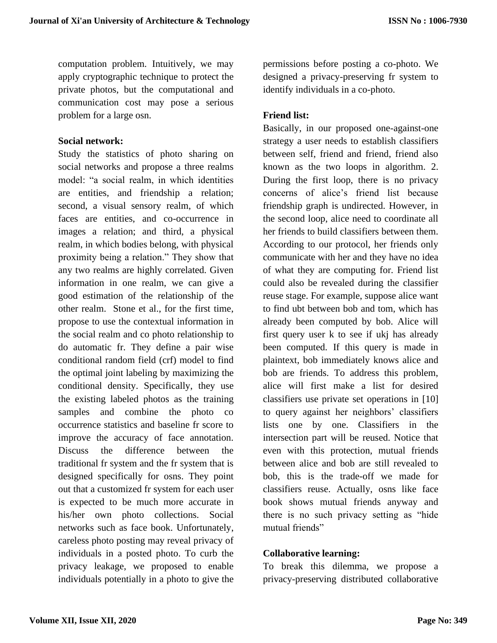computation problem. Intuitively, we may apply cryptographic technique to protect the private photos, but the computational and communication cost may pose a serious problem for a large osn.

#### **Social network:**

Study the statistics of photo sharing on social networks and propose a three realms model: "a social realm, in which identities are entities, and friendship a relation; second, a visual sensory realm, of which faces are entities, and co-occurrence in images a relation; and third, a physical realm, in which bodies belong, with physical proximity being a relation." They show that any two realms are highly correlated. Given information in one realm, we can give a good estimation of the relationship of the other realm. Stone et al., for the first time, propose to use the contextual information in the social realm and co photo relationship to do automatic fr. They define a pair wise conditional random field (crf) model to find the optimal joint labeling by maximizing the conditional density. Specifically, they use the existing labeled photos as the training samples and combine the photo co occurrence statistics and baseline fr score to improve the accuracy of face annotation. Discuss the difference between the traditional fr system and the fr system that is designed specifically for osns. They point out that a customized fr system for each user is expected to be much more accurate in his/her own photo collections. Social networks such as face book. Unfortunately, careless photo posting may reveal privacy of individuals in a posted photo. To curb the privacy leakage, we proposed to enable individuals potentially in a photo to give the

permissions before posting a co-photo. We designed a privacy-preserving fr system to identify individuals in a co-photo.

## **Friend list:**

Basically, in our proposed one-against-one strategy a user needs to establish classifiers between self, friend and friend, friend also known as the two loops in algorithm. 2. During the first loop, there is no privacy concerns of alice's friend list because friendship graph is undirected. However, in the second loop, alice need to coordinate all her friends to build classifiers between them. According to our protocol, her friends only communicate with her and they have no idea of what they are computing for. Friend list could also be revealed during the classifier reuse stage. For example, suppose alice want to find ubt between bob and tom, which has already been computed by bob. Alice will first query user k to see if ukj has already been computed. If this query is made in plaintext, bob immediately knows alice and bob are friends. To address this problem, alice will first make a list for desired classifiers use private set operations in [10] to query against her neighbors' classifiers lists one by one. Classifiers in the intersection part will be reused. Notice that even with this protection, mutual friends between alice and bob are still revealed to bob, this is the trade-off we made for classifiers reuse. Actually, osns like face book shows mutual friends anyway and there is no such privacy setting as "hide mutual friends"

## **Collaborative learning:**

To break this dilemma, we propose a privacy-preserving distributed collaborative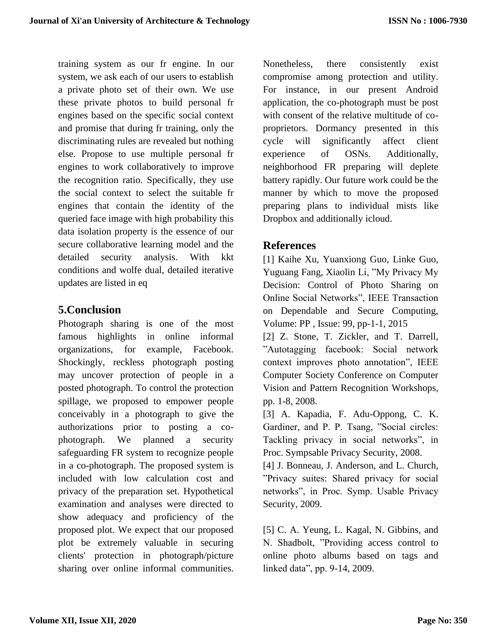training system as our fr engine. In our system, we ask each of our users to establish a private photo set of their own. We use these private photos to build personal fr engines based on the specific social context and promise that during fr training, only the discriminating rules are revealed but nothing else. Propose to use multiple personal fr engines to work collaboratively to improve the recognition ratio. Specifically, they use the social context to select the suitable fr engines that contain the identity of the queried face image with high probability this data isolation property is the essence of our secure collaborative learning model and the detailed security analysis. With kkt conditions and wolfe dual, detailed iterative updates are listed in eq

# **5.Conclusion**

Photograph sharing is one of the most famous highlights in online informal organizations, for example, Facebook. Shockingly, reckless photograph posting may uncover protection of people in a posted photograph. To control the protection spillage, we proposed to empower people conceivably in a photograph to give the authorizations prior to posting a cophotograph. We planned a security safeguarding FR system to recognize people in a co-photograph. The proposed system is included with low calculation cost and privacy of the preparation set. Hypothetical examination and analyses were directed to show adequacy and proficiency of the proposed plot. We expect that our proposed plot be extremely valuable in securing clients' protection in photograph/picture sharing over online informal communities.

Nonetheless, there consistently exist compromise among protection and utility. For instance, in our present Android application, the co-photograph must be post with consent of the relative multitude of coproprietors. Dormancy presented in this cycle will significantly affect client experience of OSNs. Additionally, neighborhood FR preparing will deplete battery rapidly. Our future work could be the manner by which to move the proposed preparing plans to individual mists like Dropbox and additionally icloud.

# **References**

[1] Kaihe Xu, Yuanxiong Guo, Linke Guo, Yuguang Fang, Xiaolin Li, "My Privacy My Decision: Control of Photo Sharing on Online Social Networks", IEEE Transaction on Dependable and Secure Computing, Volume: PP , Issue: 99, pp-1-1, 2015

[2] Z. Stone, T. Zickler, and T. Darrell, "Autotagging facebook: Social network context improves photo annotation", IEEE Computer Society Conference on Computer Vision and Pattern Recognition Workshops, pp. 1-8, 2008.

[3] A. Kapadia, F. Adu-Oppong, C. K. Gardiner, and P. P. Tsang, "Social circles: Tackling privacy in social networks", in Proc. Sympsable Privacy Security, 2008.

[4] J. Bonneau, J. Anderson, and L. Church, "Privacy suites: Shared privacy for social networks", in Proc. Symp. Usable Privacy Security, 2009.

[5] C. A. Yeung, L. Kagal, N. Gibbins, and N. Shadbolt, "Providing access control to online photo albums based on tags and linked data", pp. 9-14, 2009.